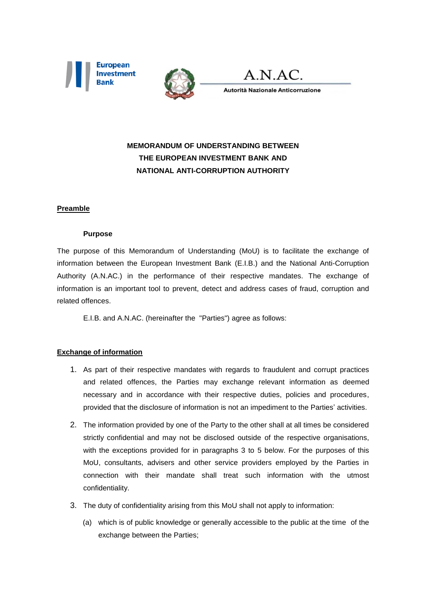





Autorità Nazionale Anticorruzione

# **MEMORANDUM OF UNDERSTANDING BETWEEN THE EUROPEAN INVESTMENT BANK AND NATIONAL ANTI-CORRUPTION AUTHORITY**

## **Preamble**

#### **Purpose**

The purpose of this Memorandum of Understanding (MoU) is to facilitate the exchange of information between the European Investment Bank (E.I.B.) and the National Anti-Corruption Authority (A.N.AC.) in the performance of their respective mandates. The exchange of information is an important tool to prevent, detect and address cases of fraud, corruption and related offences.

E.I.B. and A.N.AC. (hereinafter the "Parties") agree as follows:

#### **Exchange of information**

- 1. As part of their respective mandates with regards to fraudulent and corrupt practices and related offences, the Parties may exchange relevant information as deemed necessary and in accordance with their respective duties, policies and procedures, provided that the disclosure of information is not an impediment to the Parties' activities.
- 2. The information provided by one of the Party to the other shall at all times be considered strictly confidential and may not be disclosed outside of the respective organisations, with the exceptions provided for in paragraphs 3 to 5 below. For the purposes of this MoU, consultants, advisers and other service providers employed by the Parties in connection with their mandate shall treat such information with the utmost confidentiality.
- 3. The duty of confidentiality arising from this MoU shall not apply to information:
	- (a) which is of public knowledge or generally accessible to the public at the time of the exchange between the Parties;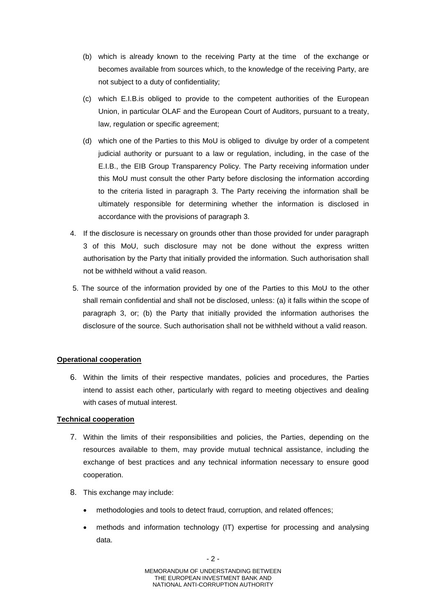- (b) which is already known to the receiving Party at the time of the exchange or becomes available from sources which, to the knowledge of the receiving Party, are not subject to a duty of confidentiality;
- (c) which E.I.B.is obliged to provide to the competent authorities of the European Union, in particular OLAF and the European Court of Auditors, pursuant to a treaty, law, regulation or specific agreement;
- (d) which one of the Parties to this MoU is obliged to divulge by order of a competent judicial authority or pursuant to a law or regulation, including, in the case of the E.I.B., the EIB Group Transparency Policy. The Party receiving information under this MoU must consult the other Party before disclosing the information according to the criteria listed in paragraph 3. The Party receiving the information shall be ultimately responsible for determining whether the information is disclosed in accordance with the provisions of paragraph 3.
- 4. If the disclosure is necessary on grounds other than those provided for under paragraph 3 of this MoU, such disclosure may not be done without the express written authorisation by the Party that initially provided the information. Such authorisation shall not be withheld without a valid reason.
- 5. The source of the information provided by one of the Parties to this MoU to the other shall remain confidential and shall not be disclosed, unless: (a) it falls within the scope of paragraph 3, or; (b) the Party that initially provided the information authorises the disclosure of the source. Such authorisation shall not be withheld without a valid reason.

#### **Operational cooperation**

6. Within the limits of their respective mandates, policies and procedures, the Parties intend to assist each other, particularly with regard to meeting objectives and dealing with cases of mutual interest.

#### **Technical cooperation**

- 7. Within the limits of their responsibilities and policies, the Parties, depending on the resources available to them, may provide mutual technical assistance, including the exchange of best practices and any technical information necessary to ensure good cooperation.
- 8. This exchange may include:
	- methodologies and tools to detect fraud, corruption, and related offences;
	- methods and information technology (IT) expertise for processing and analysing data.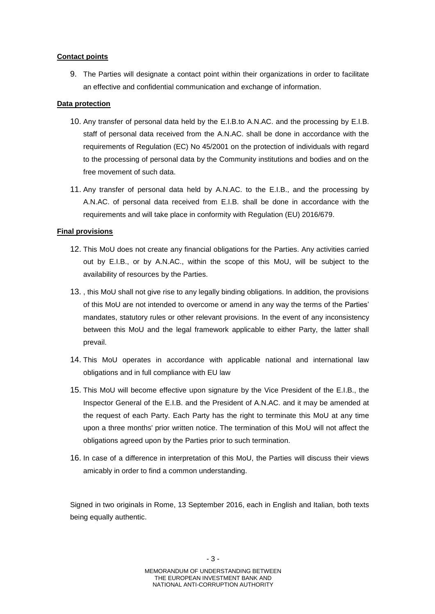## **Contact points**

9. The Parties will designate a contact point within their organizations in order to facilitate an effective and confidential communication and exchange of information.

### **Data protection**

- 10. Any transfer of personal data held by the E.I.B.to A.N.AC. and the processing by E.I.B. staff of personal data received from the A.N.AC. shall be done in accordance with the requirements of Regulation (EC) No 45/2001 on the protection of individuals with regard to the processing of personal data by the Community institutions and bodies and on the free movement of such data.
- 11. Any transfer of personal data held by A.N.AC. to the E.I.B., and the processing by A.N.AC. of personal data received from E.I.B. shall be done in accordance with the requirements and will take place in conformity with Regulation (EU) 2016/679.

## **Final provisions**

- 12. This MoU does not create any financial obligations for the Parties. Any activities carried out by E.I.B., or by A.N.AC., within the scope of this MoU, will be subject to the availability of resources by the Parties.
- 13. , this MoU shall not give rise to any legally binding obligations. In addition, the provisions of this MoU are not intended to overcome or amend in any way the terms of the Parties' mandates, statutory rules or other relevant provisions. In the event of any inconsistency between this MoU and the legal framework applicable to either Party, the latter shall prevail.
- 14. This MoU operates in accordance with applicable national and international law obligations and in full compliance with EU law
- 15. This MoU will become effective upon signature by the Vice President of the E.I.B., the Inspector General of the E.I.B. and the President of A.N.AC. and it may be amended at the request of each Party. Each Party has the right to terminate this MoU at any time upon a three months' prior written notice. The termination of this MoU will not affect the obligations agreed upon by the Parties prior to such termination.
- 16. In case of a difference in interpretation of this MoU, the Parties will discuss their views amicably in order to find a common understanding.

Signed in two originals in Rome, 13 September 2016, each in English and Italian, both texts being equally authentic.